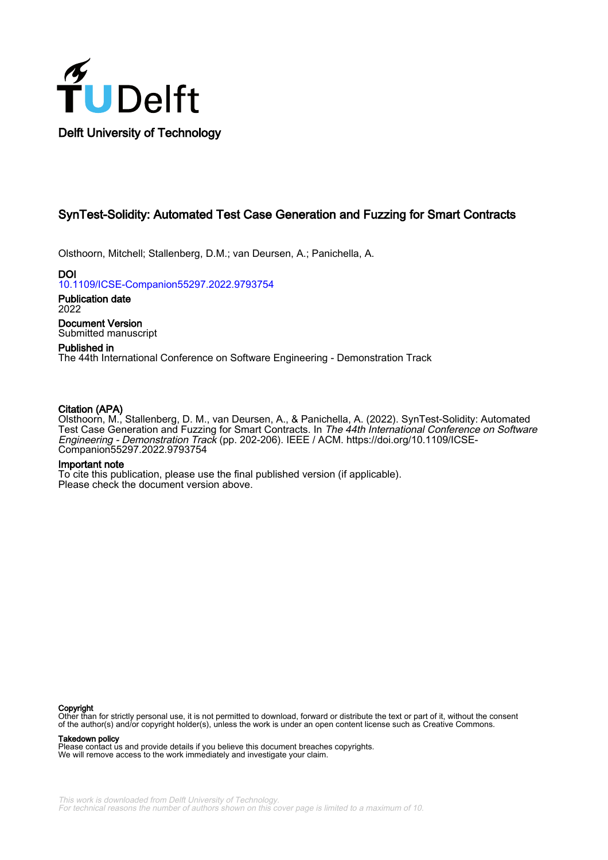

## SynTest-Solidity: Automated Test Case Generation and Fuzzing for Smart Contracts

Olsthoorn, Mitchell; Stallenberg, D.M.; van Deursen, A.; Panichella, A.

DOI [10.1109/ICSE-Companion55297.2022.9793754](https://doi.org/10.1109/ICSE-Companion55297.2022.9793754)

Publication date 2022

Document Version Submitted manuscript

## Published in

The 44th International Conference on Software Engineering - Demonstration Track

## Citation (APA)

Olsthoorn, M., Stallenberg, D. M., van Deursen, A., & Panichella, A. (2022). SynTest-Solidity: Automated Test Case Generation and Fuzzing for Smart Contracts. In *The 44th International Conference on Software* Engineering - Demonstration Track (pp. 202-206). IEEE / ACM. [https://doi.org/10.1109/ICSE-](https://doi.org/10.1109/ICSE-Companion55297.2022.9793754)[Companion55297.2022.9793754](https://doi.org/10.1109/ICSE-Companion55297.2022.9793754)

#### Important note

To cite this publication, please use the final published version (if applicable). Please check the document version above.

#### **Copyright**

Other than for strictly personal use, it is not permitted to download, forward or distribute the text or part of it, without the consent of the author(s) and/or copyright holder(s), unless the work is under an open content license such as Creative Commons.

#### Takedown policy

Please contact us and provide details if you believe this document breaches copyrights. We will remove access to the work immediately and investigate your claim.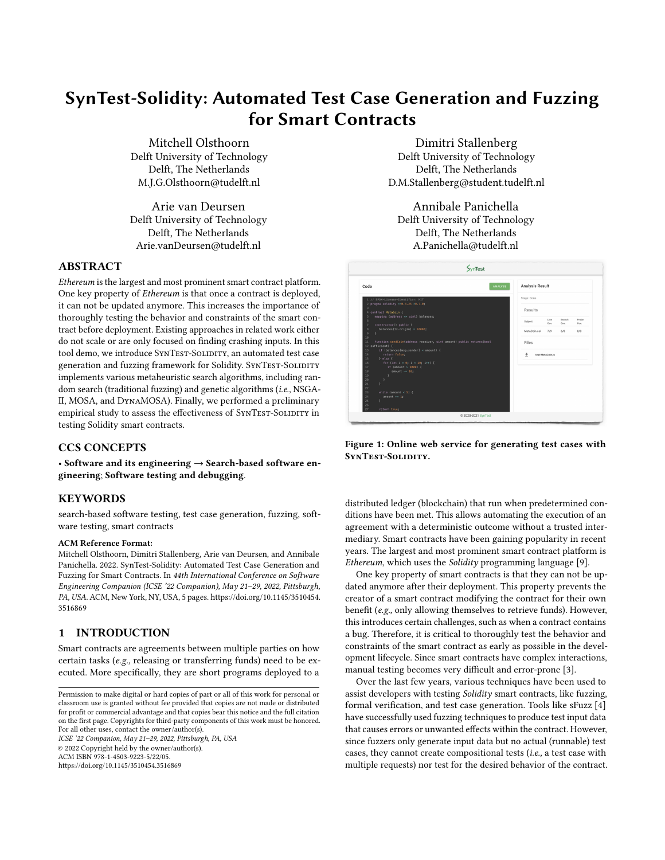# SynTest-Solidity: Automated Test Case Generation and Fuzzing for Smart Contracts

[Mitchell Olsthoorn](https://orcid.org/0000-0003-0551-6690) Delft University of Technology Delft, The Netherlands M.J.G.Olsthoorn@tudelft.nl

[Arie van Deursen](https://orcid.org/0000-0003-4850-3312) Delft University of Technology Delft, The Netherlands Arie.vanDeursen@tudelft.nl

## ABSTRACT

Ethereum is the largest and most prominent smart contract platform. One key property of Ethereum is that once a contract is deployed, it can not be updated anymore. This increases the importance of thoroughly testing the behavior and constraints of the smart contract before deployment. Existing approaches in related work either do not scale or are only focused on finding crashing inputs. In this tool demo, we introduce SYNTEST-SOLIDITY, an automated test case generation and fuzzing framework for Solidity. SYNTEST-SOLIDITY implements various metaheuristic search algorithms, including random search (traditional fuzzing) and genetic algorithms (i.e., NSGA-II, MOSA, and DynaMOSA). Finally, we performed a preliminary empirical study to assess the effectiveness of SYNTEST-SOLIDITY in testing Solidity smart contracts.

## CCS CONCEPTS

• Software and its engineering  $\rightarrow$  Search-based software engineering; Software testing and debugging.

## **KEYWORDS**

search-based software testing, test case generation, fuzzing, software testing, smart contracts

#### ACM Reference Format:

Mitchell Olsthoorn, Dimitri Stallenberg, Arie van Deursen, and Annibale Panichella. 2022. SynTest-Solidity: Automated Test Case Generation and Fuzzing for Smart Contracts. In 44th International Conference on Software Engineering Companion (ICSE '22 Companion), May 21–29, 2022, Pittsburgh, PA, USA. ACM, New York, NY, USA, [5](#page-5-0) pages. [https://doi.org/10.1145/3510454.](https://doi.org/10.1145/3510454.3516869) [3516869](https://doi.org/10.1145/3510454.3516869)

## 1 INTRODUCTION

Smart contracts are agreements between multiple parties on how certain tasks (e.g., releasing or transferring funds) need to be executed. More specifically, they are short programs deployed to a

Permission to make digital or hard copies of part or all of this work for personal or classroom use is granted without fee provided that copies are not made or distributed for profit or commercial advantage and that copies bear this notice and the full citation on the first page. Copyrights for third-party components of this work must be honored. For all other uses, contact the owner/author(s).

ICSE '22 Companion, May 21–29, 2022, Pittsburgh, PA, USA © 2022 Copyright held by the owner/author(s). ACM ISBN 978-1-4503-9223-5/22/05. <https://doi.org/10.1145/3510454.3516869>

Dimitri Stallenberg Delft University of Technology Delft, The Netherlands D.M.Stallenberg@student.tudelft.nl

[Annibale Panichella](https://orcid.org/0000-0002-7395-3588) Delft University of Technology Delft, The Netherlands A.Panichella@tudelft.nl

<span id="page-1-0"></span>

Figure 1: Online web service for generating test cases with SYNTEST-SOLIDITY.

distributed ledger (blockchain) that run when predetermined conditions have been met. This allows automating the execution of an agreement with a deterministic outcome without a trusted intermediary. Smart contracts have been gaining popularity in recent years. The largest and most prominent smart contract platform is Ethereum, which uses the Solidity programming language [\[9\]](#page-5-1).

One key property of smart contracts is that they can not be updated anymore after their deployment. This property prevents the creator of a smart contract modifying the contract for their own benefit (e.g., only allowing themselves to retrieve funds). However, this introduces certain challenges, such as when a contract contains a bug. Therefore, it is critical to thoroughly test the behavior and constraints of the smart contract as early as possible in the development lifecycle. Since smart contracts have complex interactions, manual testing becomes very difficult and error-prone [\[3\]](#page-5-2).

Over the last few years, various techniques have been used to assist developers with testing Solidity smart contracts, like fuzzing, formal verification, and test case generation. Tools like sFuzz [\[4\]](#page-5-3) have successfully used fuzzing techniques to produce test input data that causes errors or unwanted effects within the contract. However, since fuzzers only generate input data but no actual (runnable) test cases, they cannot create compositional tests (i.e., a test case with multiple requests) nor test for the desired behavior of the contract.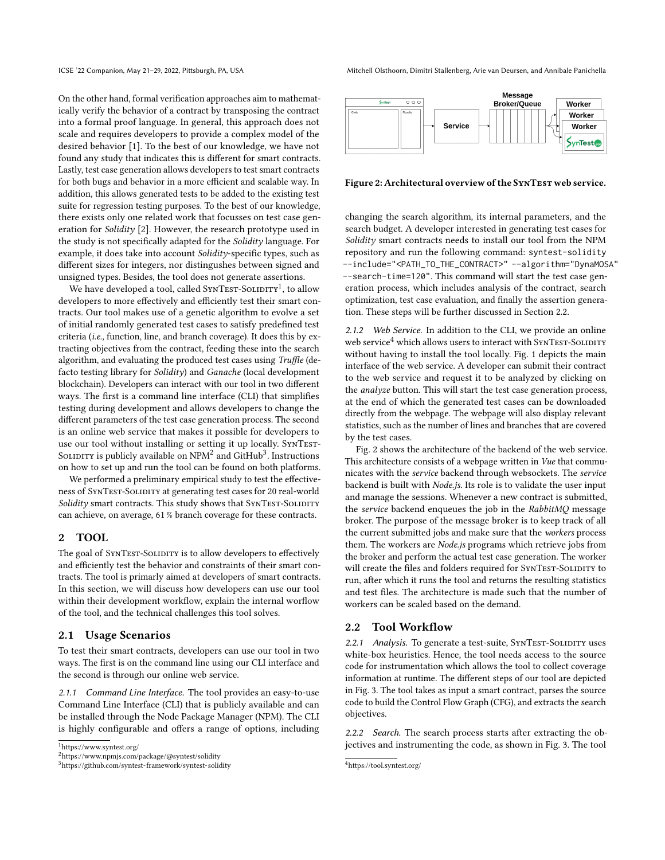On the other hand, formal verification approaches aim to mathematically verify the behavior of a contract by transposing the contract into a formal proof language. In general, this approach does not scale and requires developers to provide a complex model of the desired behavior [\[1\]](#page-5-4). To the best of our knowledge, we have not found any study that indicates this is different for smart contracts. Lastly, test case generation allows developers to test smart contracts for both bugs and behavior in a more efficient and scalable way. In addition, this allows generated tests to be added to the existing test suite for regression testing purposes. To the best of our knowledge, there exists only one related work that focusses on test case generation for Solidity [\[2\]](#page-5-5). However, the research prototype used in the study is not specifically adapted for the Solidity language. For example, it does take into account Solidity-specific types, such as different sizes for integers, nor distingushes between signed and unsigned types. Besides, the tool does not generate assertions.

We have developed a tool, called  $\textsc{SwTest-Soumry}\xspace^1$  $\textsc{SwTest-Soumry}\xspace^1$ , to allow developers to more effectively and efficiently test their smart contracts. Our tool makes use of a genetic algorithm to evolve a set of initial randomly generated test cases to satisfy predefined test criteria (i.e., function, line, and branch coverage). It does this by extracting objectives from the contract, feeding these into the search algorithm, and evaluating the produced test cases using Truffle (defacto testing library for Solidity) and Ganache (local development blockchain). Developers can interact with our tool in two different ways. The first is a command line interface (CLI) that simplifies testing during development and allows developers to change the different parameters of the test case generation process. The second is an online web service that makes it possible for developers to use our tool without installing or setting it up locally. SYNTEST-SOLIDITY is publicly available on  $\mathrm{NPM}^2$  $\mathrm{NPM}^2$  and GitHub $^3$  $^3$ . Instructions on how to set up and run the tool can be found on both platforms.

We performed a preliminary empirical study to test the effectiveness of SYNTEST-SOLIDITY at generating test cases for 20 real-world Solidity smart contracts. This study shows that SYNTEST-SOLIDITY can achieve, on average, 61 % branch coverage for these contracts.

## 2 TOOL

The goal of SYNTEST-SOLIDITY is to allow developers to effectively and efficiently test the behavior and constraints of their smart contracts. The tool is primarly aimed at developers of smart contracts. In this section, we will discuss how developers can use our tool within their development workflow, explain the internal worflow of the tool, and the technical challenges this tool solves.

#### 2.1 Usage Scenarios

To test their smart contracts, developers can use our tool in two ways. The first is on the command line using our CLI interface and the second is through our online web service.

2.1.1 Command Line Interface. The tool provides an easy-to-use Command Line Interface (CLI) that is publicly available and can be installed through the Node Package Manager (NPM). The CLI is highly configurable and offers a range of options, including

ICSE '22 Companion, May 21-29, 2022, Pittsburgh, PA, USA Mitchell Olsthoorn, Dimitri Stallenberg, Arie van Deursen, and Annibale Panichella

<span id="page-2-5"></span>

#### Figure 2: Architectural overview of the SYNTEST web service.

changing the search algorithm, its internal parameters, and the search budget. A developer interested in generating test cases for Solidity smart contracts needs to install our tool from the NPM repository and run the following command: syntest-solidity --include="<PATH\_TO\_THE\_CONTRACT>" --algorithm="DynaMOSA" --search-time=120". This command will start the test case generation process, which includes analysis of the contract, search optimization, test case evaluation, and finally the assertion generation. These steps will be further discussed in [Section 2.2.](#page-2-3)

2.1.2 Web Service. In addition to the CLI, we provide an online web service<sup>[4](#page-2-4)</sup> which allows users to interact with SYNTEST-SOLIDITY without having to install the tool locally. [Fig. 1](#page-1-0) depicts the main interface of the web service. A developer can submit their contract to the web service and request it to be analyzed by clicking on the *analyze* button. This will start the test case generation process, at the end of which the generated test cases can be downloaded directly from the webpage. The webpage will also display relevant statistics, such as the number of lines and branches that are covered by the test cases.

[Fig. 2](#page-2-5) shows the architecture of the backend of the web service. This architecture consists of a webpage written in Vue that communicates with the service backend through websockets. The service backend is built with Node.js. Its role is to validate the user input and manage the sessions. Whenever a new contract is submitted, the service backend enqueues the job in the RabbitMQ message broker. The purpose of the message broker is to keep track of all the current submitted jobs and make sure that the workers process them. The workers are Node.js programs which retrieve jobs from the broker and perform the actual test case generation. The worker will create the files and folders required for SYNTEST-SOLIDITY to run, after which it runs the tool and returns the resulting statistics and test files. The architecture is made such that the number of workers can be scaled based on the demand.

## <span id="page-2-3"></span>2.2 Tool Workflow

2.2.1 Analysis. To generate a test-suite, SYNTEST-SOLIDITY uses white-box heuristics. Hence, the tool needs access to the source code for instrumentation which allows the tool to collect coverage information at runtime. The different steps of our tool are depicted in [Fig. 3.](#page-3-0) The tool takes as input a smart contract, parses the source code to build the Control Flow Graph (CFG), and extracts the search objectives.

2.2.2 Search. The search process starts after extracting the objectives and instrumenting the code, as shown in [Fig. 3.](#page-3-0) The tool

<span id="page-2-0"></span><sup>1</sup><https://www.syntest.org/>

<span id="page-2-1"></span><sup>2</sup><https://www.npmjs.com/package/@syntest/solidity>

<span id="page-2-2"></span><sup>3</sup><https://github.com/syntest-framework/syntest-solidity>

<span id="page-2-4"></span><sup>4</sup><https://tool.syntest.org/>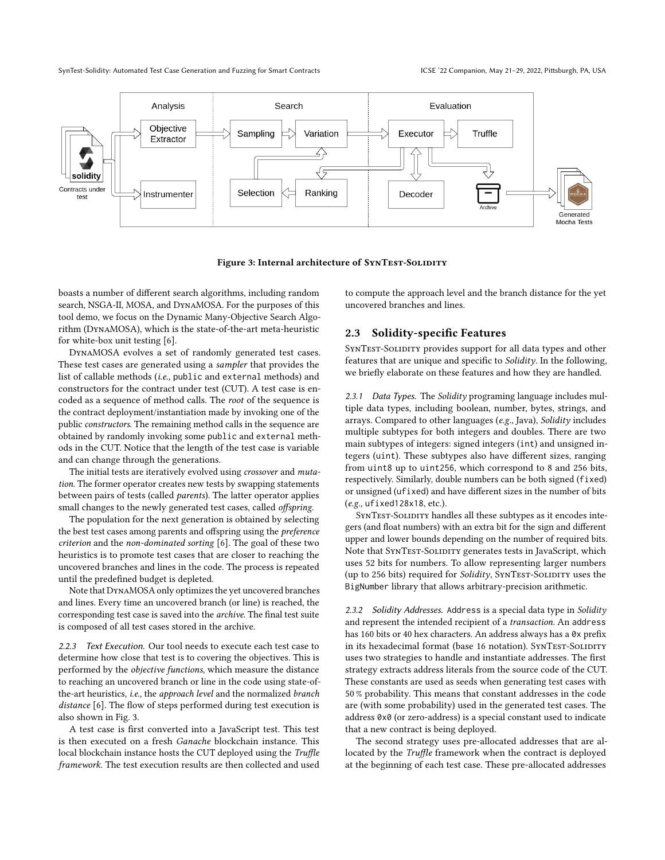SynTest-Solidity: Automated Test Case Generation and Fuzzing for Smart Contracts ICSE '22 Companion, May 21–29, 2022, Pittsburgh, PA, USA

<span id="page-3-0"></span>

Figure 3: Internal architecture of SYNTEST-SOLIDITY

boasts a number of different search algorithms, including random search, NSGA-II, MOSA, and DynaMOSA. For the purposes of this tool demo, we focus on the Dynamic Many-Objective Search Algorithm (DynaMOSA), which is the state-of-the-art meta-heuristic for white-box unit testing [\[6\]](#page-5-6).

DynaMOSA evolves a set of randomly generated test cases. These test cases are generated using a sampler that provides the list of callable methods (i.e., public and external methods) and constructors for the contract under test (CUT). A test case is encoded as a sequence of method calls. The root of the sequence is the contract deployment/instantiation made by invoking one of the public constructors. The remaining method calls in the sequence are obtained by randomly invoking some public and external methods in the CUT. Notice that the length of the test case is variable and can change through the generations.

The initial tests are iteratively evolved using crossover and mutation. The former operator creates new tests by swapping statements between pairs of tests (called parents). The latter operator applies small changes to the newly generated test cases, called offspring.

The population for the next generation is obtained by selecting the best test cases among parents and offspring using the preference criterion and the non-dominated sorting [\[6\]](#page-5-6). The goal of these two heuristics is to promote test cases that are closer to reaching the uncovered branches and lines in the code. The process is repeated until the predefined budget is depleted.

Note that DynaMOSAonly optimizes the yet uncovered branches and lines. Every time an uncovered branch (or line) is reached, the corresponding test case is saved into the archive. The final test suite is composed of all test cases stored in the archive.

2.2.3 Text Execution. Our tool needs to execute each test case to determine how close that test is to covering the objectives. This is performed by the objective functions, which measure the distance to reaching an uncovered branch or line in the code using state-ofthe-art heuristics, i.e., the approach level and the normalized branch distance [\[6\]](#page-5-6). The flow of steps performed during test execution is also shown in [Fig. 3.](#page-3-0)

A test case is first converted into a JavaScript test. This test is then executed on a fresh Ganache blockchain instance. This local blockchain instance hosts the CUT deployed using the Truffle framework. The test execution results are then collected and used to compute the approach level and the branch distance for the yet uncovered branches and lines.

## 2.3 Solidity-specific Features

SYNTEST-SOLIDITY provides support for all data types and other features that are unique and specific to Solidity. In the following, we briefly elaborate on these features and how they are handled.

2.3.1 Data Types. The Solidity programing language includes multiple data types, including boolean, number, bytes, strings, and arrays. Compared to other languages (e.g., Java), Solidity includes multiple subtypes for both integers and doubles. There are two main subtypes of integers: signed integers (int) and unsigned integers (uint). These subtypes also have different sizes, ranging from uint8 up to uint256, which correspond to 8 and 256 bits, respectively. Similarly, double numbers can be both signed (fixed) or unsigned (ufixed) and have different sizes in the number of bits (e.g., ufixed128x18, etc.).

SYNTEST-SOLIDITY handles all these subtypes as it encodes integers (and float numbers) with an extra bit for the sign and different upper and lower bounds depending on the number of required bits. Note that SYNTEST-SOLIDITY generates tests in JavaScript, which uses 52 bits for numbers. To allow representing larger numbers (up to 256 bits) required for *Solidity*, SYNTEST-SOLIDITY uses the BigNumber library that allows arbitrary-precision arithmetic.

2.3.2 Solidity Addresses. Address is a special data type in Solidity and represent the intended recipient of a transaction. An address has 160 bits or 40 hex characters. An address always has a 0x prefix in its hexadecimal format (base 16 notation). SYNTEST-SOLIDITY uses two strategies to handle and instantiate addresses. The first strategy extracts address literals from the source code of the CUT. These constants are used as seeds when generating test cases with 50 % probability. This means that constant addresses in the code are (with some probability) used in the generated test cases. The address 0x0 (or zero-address) is a special constant used to indicate that a new contract is being deployed.

The second strategy uses pre-allocated addresses that are allocated by the Truffle framework when the contract is deployed at the beginning of each test case. These pre-allocated addresses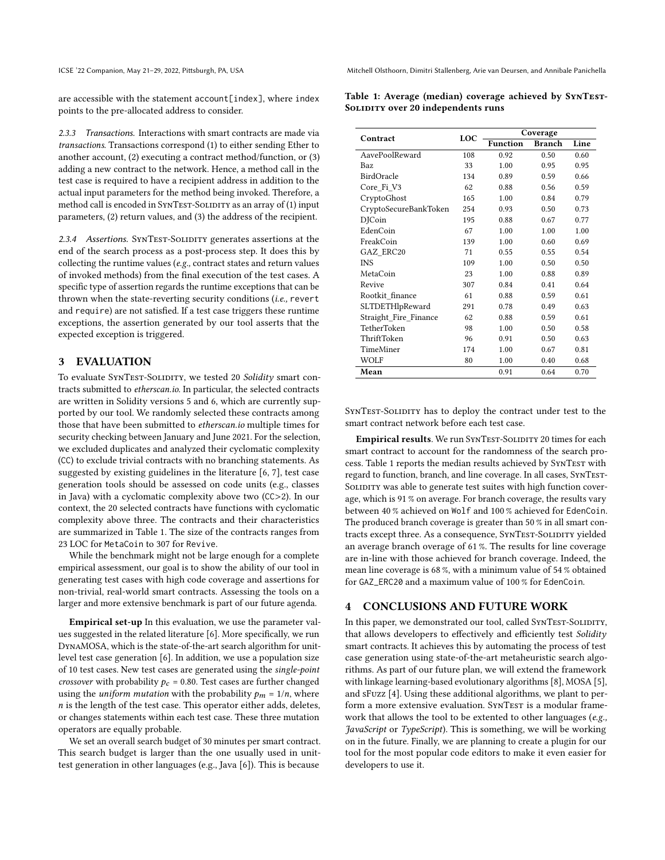are accessible with the statement account[index], where index points to the pre-allocated address to consider.

2.3.3 Transactions. Interactions with smart contracts are made via transactions. Transactions correspond (1) to either sending Ether to another account, (2) executing a contract method/function, or (3) adding a new contract to the network. Hence, a method call in the test case is required to have a recipient address in addition to the actual input parameters for the method being invoked. Therefore, a method call is encoded in SYNTEST-SOLIDITY as an array of (1) input parameters, (2) return values, and (3) the address of the recipient.

2.3.4 Assertions. SYNTEST-SOLIDITY generates assertions at the end of the search process as a post-process step. It does this by collecting the runtime values (e.g., contract states and return values of invoked methods) from the final execution of the test cases. A specific type of assertion regards the runtime exceptions that can be thrown when the state-reverting security conditions (i.e., revert and require) are not satisfied. If a test case triggers these runtime exceptions, the assertion generated by our tool asserts that the expected exception is triggered.

## 3 EVALUATION

To evaluate SYNTEST-SOLIDITY, we tested 20 Solidity smart contracts submitted to etherscan.io. In particular, the selected contracts are written in Solidity versions 5 and 6, which are currently supported by our tool. We randomly selected these contracts among those that have been submitted to etherscan.io multiple times for security checking between January and June 2021. For the selection, we excluded duplicates and analyzed their cyclomatic complexity (CC) to exclude trivial contracts with no branching statements. As suggested by existing guidelines in the literature [\[6,](#page-5-6) [7\]](#page-5-7), test case generation tools should be assessed on code units (e.g., classes in Java) with a cyclomatic complexity above two (CC>2). In our context, the 20 selected contracts have functions with cyclomatic complexity above three. The contracts and their characteristics are summarized in [Table 1.](#page-4-0) The size of the contracts ranges from 23 LOC for MetaCoin to 307 for Revive.

While the benchmark might not be large enough for a complete empirical assessment, our goal is to show the ability of our tool in generating test cases with high code coverage and assertions for non-trivial, real-world smart contracts. Assessing the tools on a larger and more extensive benchmark is part of our future agenda.

Empirical set-up In this evaluation, we use the parameter values suggested in the related literature [\[6\]](#page-5-6). More specifically, we run DynaMOSA, which is the state-of-the-art search algorithm for unitlevel test case generation [\[6\]](#page-5-6). In addition, we use a population size of 10 test cases. New test cases are generated using the single-point crossover with probability  $p_c = 0.80$ . Test cases are further changed using the *uniform mutation* with the probability  $p_m = 1/n$ , where  $n$  is the length of the test case. This operator either adds, deletes, or changes statements within each test case. These three mutation operators are equally probable.

We set an overall search budget of 30 minutes per smart contract. This search budget is larger than the one usually used in unittest generation in other languages (e.g., Java [\[6\]](#page-5-6)). This is because

ICSE '22 Companion, May 21-29, 2022, Pittsburgh, PA, USA Mitchell Olsthoorn, Dimitri Stallenberg, Arie van Deursen, and Annibale Panichella

<span id="page-4-0"></span>Table 1: Average (median) coverage achieved by SynTest-SOLIDITY over 20 independents runs

| <b>Function</b><br><b>Branch</b><br>AavePoolReward<br>0.50<br>108<br>0.92<br>0.60<br>33<br>1.00<br>Baz<br>0.95<br>0.95<br>BirdOracle<br>134<br>0.89<br>0.59<br>0.66<br>Core_Fi_V3<br>62<br>0.88<br>0.56<br>0.59<br>CryptoGhost<br>165<br>1.00<br>0.84<br>0.79<br>CryptoSecureBankToken<br>254<br>0.93<br>0.50<br>0.73<br><b>D</b> ICoin<br>195<br>0.77<br>0.88<br>0.67<br>EdenCoin<br>1.00<br>1.00<br>67<br>1.00<br>FreakCoin<br>1.00<br>0.60<br>139<br>0.69<br>GAZ ERC20<br>71<br>0.55<br>0.55<br>0.54 | Contract   | LOC | Coverage |      |      |
|---------------------------------------------------------------------------------------------------------------------------------------------------------------------------------------------------------------------------------------------------------------------------------------------------------------------------------------------------------------------------------------------------------------------------------------------------------------------------------------------------------|------------|-----|----------|------|------|
|                                                                                                                                                                                                                                                                                                                                                                                                                                                                                                         |            |     |          |      | Line |
|                                                                                                                                                                                                                                                                                                                                                                                                                                                                                                         |            |     |          |      |      |
|                                                                                                                                                                                                                                                                                                                                                                                                                                                                                                         |            |     |          |      |      |
|                                                                                                                                                                                                                                                                                                                                                                                                                                                                                                         |            |     |          |      |      |
|                                                                                                                                                                                                                                                                                                                                                                                                                                                                                                         |            |     |          |      |      |
|                                                                                                                                                                                                                                                                                                                                                                                                                                                                                                         |            |     |          |      |      |
|                                                                                                                                                                                                                                                                                                                                                                                                                                                                                                         |            |     |          |      |      |
|                                                                                                                                                                                                                                                                                                                                                                                                                                                                                                         |            |     |          |      |      |
|                                                                                                                                                                                                                                                                                                                                                                                                                                                                                                         |            |     |          |      |      |
|                                                                                                                                                                                                                                                                                                                                                                                                                                                                                                         |            |     |          |      |      |
|                                                                                                                                                                                                                                                                                                                                                                                                                                                                                                         |            |     |          |      |      |
|                                                                                                                                                                                                                                                                                                                                                                                                                                                                                                         | <b>INS</b> | 109 | 1.00     | 0.50 | 0.50 |
| MetaCoin<br>23<br>1.00<br>0.88<br>0.89                                                                                                                                                                                                                                                                                                                                                                                                                                                                  |            |     |          |      |      |
| Revive<br>307<br>0.84<br>0.41<br>0.64                                                                                                                                                                                                                                                                                                                                                                                                                                                                   |            |     |          |      |      |
| Rootkit finance<br>61<br>0.88<br>0.59<br>0.61                                                                                                                                                                                                                                                                                                                                                                                                                                                           |            |     |          |      |      |
| SLTDETHlpReward<br>291<br>0.78<br>0.49<br>0.63                                                                                                                                                                                                                                                                                                                                                                                                                                                          |            |     |          |      |      |
| Straight Fire Finance<br>62<br>0.88<br>0.59<br>0.61                                                                                                                                                                                                                                                                                                                                                                                                                                                     |            |     |          |      |      |
| TetherToken<br>98<br>1.00<br>0.50<br>0.58                                                                                                                                                                                                                                                                                                                                                                                                                                                               |            |     |          |      |      |
| ThriftToken<br>96<br>0.91<br>0.50<br>0.63                                                                                                                                                                                                                                                                                                                                                                                                                                                               |            |     |          |      |      |
| <b>TimeMiner</b><br>174<br>1.00<br>0.67<br>0.81                                                                                                                                                                                                                                                                                                                                                                                                                                                         |            |     |          |      |      |
| WOLF<br>80<br>1.00<br>0.40<br>0.68                                                                                                                                                                                                                                                                                                                                                                                                                                                                      |            |     |          |      |      |
| Mean<br>0.64<br>0.91<br>0.70                                                                                                                                                                                                                                                                                                                                                                                                                                                                            |            |     |          |      |      |

SYNTEST-SOLIDITY has to deploy the contract under test to the smart contract network before each test case.

Empirical results. We run SYNTEST-SOLIDITY 20 times for each smart contract to account for the randomness of the search pro-cess. Table [1](#page-4-0) reports the median results achieved by SYNTEST with regard to function, branch, and line coverage. In all cases, SynTest-SOLIDITY was able to generate test suites with high function coverage, which is 91 % on average. For branch coverage, the results vary between 40 % achieved on Wolf and 100 % achieved for EdenCoin. The produced branch coverage is greater than 50 % in all smart contracts except three. As a consequence, SYNTEST-SOLIDITY yielded an average branch overage of 61 %. The results for line coverage are in-line with those achieved for branch coverage. Indeed, the mean line coverage is 68 %, with a minimum value of 54 % obtained for GAZ\_ERC20 and a maximum value of 100 % for EdenCoin.

## 4 CONCLUSIONS AND FUTURE WORK

In this paper, we demonstrated our tool, called SYNTEST-SOLIDITY, that allows developers to effectively and efficiently test Solidity smart contracts. It achieves this by automating the process of test case generation using state-of-the-art metaheuristic search algorithms. As part of our future plan, we will extend the framework with linkage learning-based evolutionary algorithms [\[8\]](#page-5-8), MOSA [\[5\]](#page-5-9), and sFuzz [\[4\]](#page-5-3). Using these additional algorithms, we plant to perform a more extensive evaluation. SYNTEST is a modular framework that allows the tool to be extented to other languages (e.g., JavaScript or TypeScript). This is something, we will be working on in the future. Finally, we are planning to create a plugin for our tool for the most popular code editors to make it even easier for developers to use it.